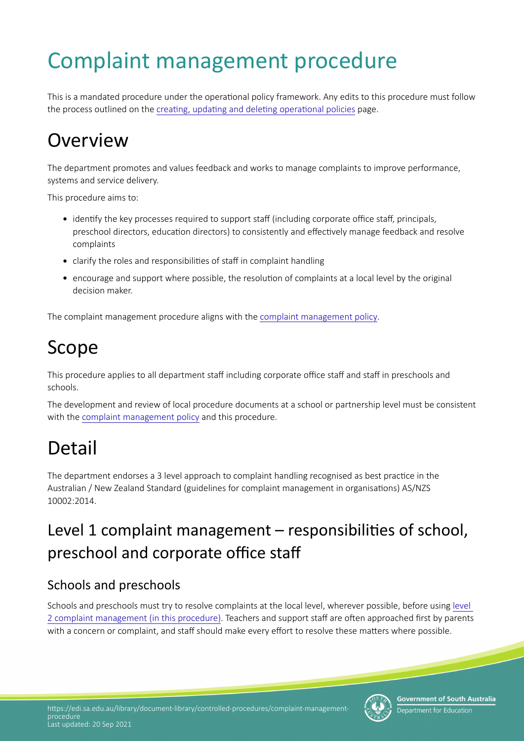# Complaint management procedure

This is a mandated procedure under the operational policy framework. Any edits to this procedure must follow the process outlined on the creating, updating and deleting operational policies page.

## **Overview**

The department promotes and values feedback and works to manage complaints to improve performance, systems and service delivery.

This procedure aims to:

- identify the key processes required to support staff (including corporate office staff, principals, preschool directors, education directors) to consistently and effectively manage feedback and resolve complaints
- clarify the roles and responsibilities of staff in complaint handling
- encourage and support where possible, the resolution of complaints at a local level by the original decision maker.

The complaint management procedure aligns with the [complaint management policy.](https://www.education.sa.gov.au/complaint-management-policy)

## Scope

This procedure applies to all department staff including corporate office staff and staff in preschools and schools.

The development and review of local procedure documents at a school or partnership level must be consistent with the [complaint management policy](https://www.education.sa.gov.au/complaint-management-policy) and this procedure.

## Detail

The department endorses a 3 level approach to complaint handling recognised as best practice in the Australian / New Zealand Standard (guidelines for complaint management in organisations) AS/NZS 10002:2014.

## Level 1 complaint management – responsibilities of school, preschool and corporate office staff

#### Schools and preschools

Schools and preschools must try to resolve complaints at the local level, wherever possible, before using [level](https://edi.sa.edu.au/library/document-library/controlled-procedures/complaint-management-procedure#level2)  [2 complaint management \(in this procedure\).](https://edi.sa.edu.au/library/document-library/controlled-procedures/complaint-management-procedure#level2) Teachers and support staff are often approached first by parents with a concern or complaint, and staff should make every effort to resolve these matters where possible.

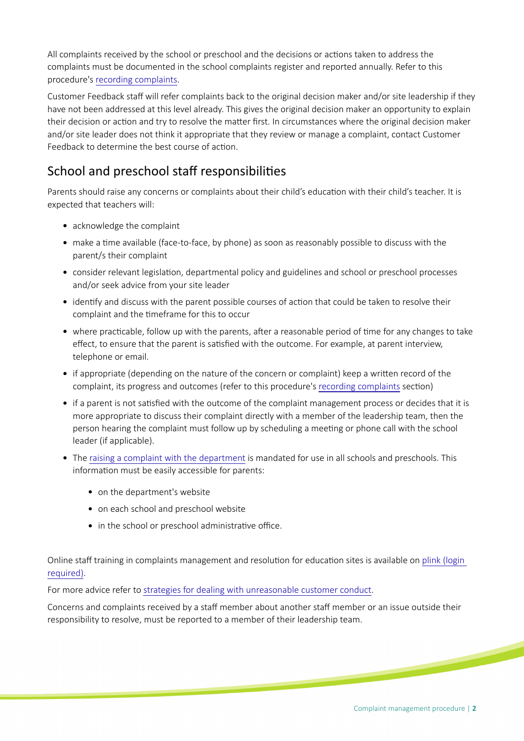All complaints received by the school or preschool and the decisions or actions taken to address the complaints must be documented in the school complaints register and reported annually. Refer to this procedure's [recording complaints](https://edi.sa.edu.au/library/document-library/controlled-procedures/complaint-management-procedure#recording).

Customer Feedback staff will refer complaints back to the original decision maker and/or site leadership if they have not been addressed at this level already. This gives the original decision maker an opportunity to explain their decision or action and try to resolve the matter first. In circumstances where the original decision maker and/or site leader does not think it appropriate that they review or manage a complaint, contact Customer Feedback to determine the best course of action.

#### School and preschool staff responsibilities

Parents should raise any concerns or complaints about their child's educaton with their child's teacher. It is expected that teachers will:

- acknowledge the complaint
- make a time available (face-to-face, by phone) as soon as reasonably possible to discuss with the parent/s their complaint
- consider relevant legislation, departmental policy and guidelines and school or preschool processes and/or seek advice from your site leader
- identify and discuss with the parent possible courses of action that could be taken to resolve their complaint and the tmeframe for this to occur
- where practicable, follow up with the parents, after a reasonable period of time for any changes to take effect, to ensure that the parent is satisfied with the outcome. For example, at parent interview, telephone or email.
- if appropriate (depending on the nature of the concern or complaint) keep a writen record of the complaint, its progress and outcomes (refer to this procedure's [recording complaints](https://edi.sa.edu.au/library/document-library/controlled-procedures/complaint-management-procedure#recording) secton)
- if a parent is not satisfied with the outcome of the complaint management process or decides that it is more appropriate to discuss their complaint directly with a member of the leadership team, then the person hearing the complaint must follow up by scheduling a meetng or phone call with the school leader (if applicable).
- The [raising a complaint with the department](https://www.education.sa.gov.au/raising-complaint-department-education) is mandated for use in all schools and preschools. This information must be easily accessible for parents:
	- on the department's website
	- on each school and preschool website
	- $\bullet$  in the school or preschool administrative office.

Online staff training in complaints management and resolution for education sites is available on plink (login [required\).](https://www.plink.sa.edu.au/pages/login.jsf?faces-redirect=true)

For more advice refer to [strategies for dealing with unreasonable customer conduct](https://edi.sa.edu.au/library/document-library/controlled-procedures/complaint-management-procedure/strategies-for-dealing-with-unreasonable-conduct).

Concerns and complaints received by a staff member about another staff member or an issue outside their responsibility to resolve, must be reported to a member of their leadership team.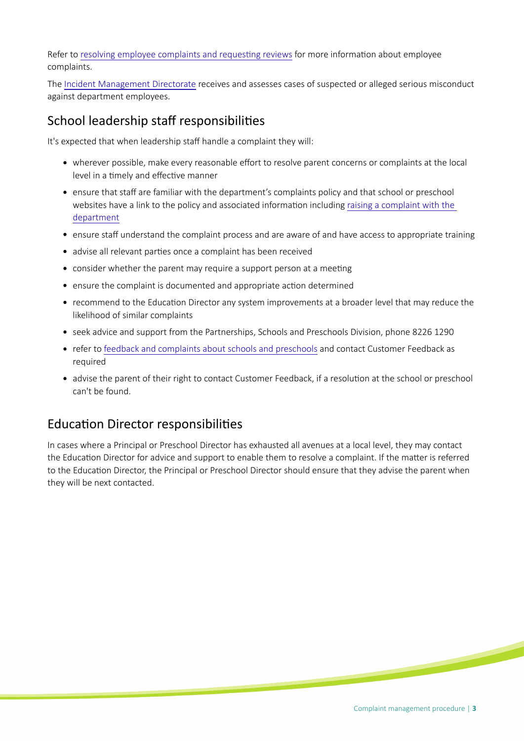Refer to resolving employee complaints and requesting reviews for more information about employee complaints.

The [Incident Management Directorate](https://edi.sa.edu.au/hr/for-managers/managing-staff/professional-conduct/incident-management-directorate) receives and assesses cases of suspected or alleged serious misconduct against department employees.

#### School leadership staff responsibilities

It's expected that when leadership staff handle a complaint they will:

- wherever possible, make every reasonable efort to resolve parent concerns or complaints at the local level in a timely and effective manner
- ensure that staff are familiar with the department's complaints policy and that school or preschool websites have a link to the policy and associated information including raising a complaint with the [department](https://www.education.sa.gov.au/raising-complaint-department-education)
- ensure staff understand the complaint process and are aware of and have access to appropriate training
- advise all relevant parties once a complaint has been received
- consider whether the parent may require a support person at a meeting
- ensure the complaint is documented and appropriate action determined
- recommend to the Education Director any system improvements at a broader level that may reduce the likelihood of similar complaints
- seek advice and support from the Partnerships, Schools and Preschools Division, phone 8226 1290
- refer to [feedback and complaints about schools and preschools](https://www.education.sa.gov.au/department/about-department/contact-department/feedback-and-complaints-about-school-or-preschool) and contact Customer Feedback as required
- advise the parent of their right to contact Customer Feedback, if a resolution at the school or preschool can't be found.

#### Educaton Director responsibilites

In cases where a Principal or Preschool Director has exhausted all avenues at a local level, they may contact the Education Director for advice and support to enable them to resolve a complaint. If the matter is referred to the Education Director, the Principal or Preschool Director should ensure that they advise the parent when they will be next contacted.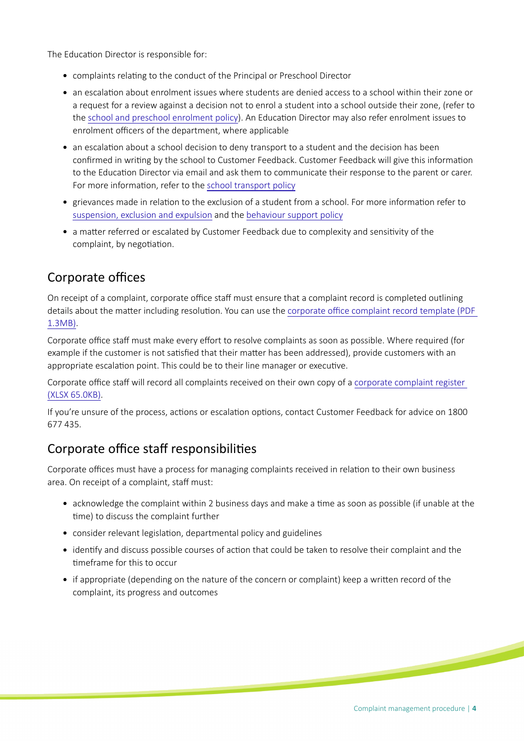The Education Director is responsible for:

- complaints relatng to the conduct of the Principal or Preschool Director
- an escalation about enrolment issues where students are denied access to a school within their zone or a request for a review against a decision not to enrol a student into a school outside their zone, (refer to the [school and preschool enrolment policy\)](https://edi.sa.edu.au/library/document-library/controlled-policies/school-and-preschool-enrolment-policy). An Educaton Director may also refer enrolment issues to enrolment officers of the department, where applicable
- an escalation about a school decision to deny transport to a student and the decision has been confrmed in writng by the school to Customer Feedback. Customer Feedback will give this informaton to the Education Director via email and ask them to communicate their response to the parent or carer. For more information, refer to the [school transport policy](https://edi.sa.edu.au/library/document-library/controlled-policies/school-transport-policy)
- grievances made in relation to the exclusion of a student from a school. For more information refer to [suspension, exclusion and expulsion](https://edi.sa.edu.au/supporting-children/behaviour-and-attendance/behaviour-support/suspend-exclude-or-expel) and the [behaviour support policy](https://edi.sa.edu.au/library/document-library/controlled-policies/behaviour-support-policy)
- a matter referred or escalated by Customer Feedback due to complexity and sensitivity of the complaint, by negotiation.

#### Corporate offices

On receipt of a complaint, corporate office staff must ensure that a complaint record is completed outlining details about the matter including resolution. You can use the corporate office complaint record template (PDF [1.3MB\)](https://edi.sa.edu.au/library/document-library/office-of-the-chief-executive/customer-and-information-services/customer-feedback-unit/corporate-office-complaint-record-template.pdf).

Corporate office staff must make every effort to resolve complaints as soon as possible. Where required (for example if the customer is not satisfied that their matter has been addressed), provide customers with an appropriate escalaton point. This could be to their line manager or executve.

Corporate office staff will record all complaints received on their own copy of a corporate complaint register [\(XLSX 65.0KB\)](https://edi.sa.edu.au/library/document-library/office-of-the-chief-executive/customer-and-information-services/customer-feedback-unit/corporate-complaints-register.xlsx).

If you're unsure of the process, actions or escalation options, contact Customer Feedback for advice on 1800 677 435.

#### Corporate office staff responsibilities

Corporate offices must have a process for managing complaints received in relation to their own business area. On receipt of a complaint, staff must:

- acknowledge the complaint within 2 business days and make a time as soon as possible (if unable at the time) to discuss the complaint further
- consider relevant legislation, departmental policy and guidelines
- identify and discuss possible courses of action that could be taken to resolve their complaint and the tmeframe for this to occur
- if appropriate (depending on the nature of the concern or complaint) keep a written record of the complaint, its progress and outcomes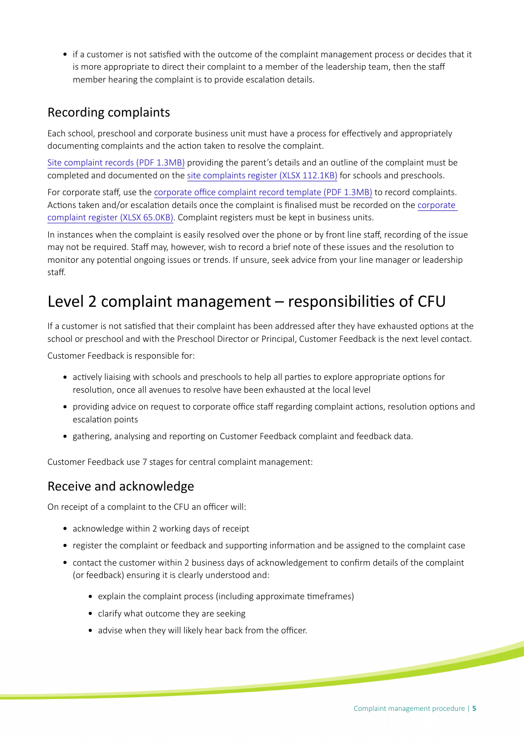if a customer is not satsfed with the outcome of the complaint management process or decides that it is more appropriate to direct their complaint to a member of the leadership team, then the staff member hearing the complaint is to provide escalation details.

#### Recording complaints

Each school, preschool and corporate business unit must have a process for efectvely and appropriately documenting complaints and the action taken to resolve the complaint.

[Site complaint records \(PDF 1.3MB\)](https://edi.sa.edu.au/library/document-library/office-of-the-chief-executive/customer-and-information-services/customer-feedback-unit/site-complaint-record.pdf) providing the parent's details and an outline of the complaint must be completed and documented on the [site complaints register \(XLSX 112.1KB\)](https://edi.sa.edu.au/library/document-library/office-of-the-chief-executive/customer-and-information-services/customer-feedback-unit/site-complaints-register.xlsx) for schools and preschools.

For corporate staff, use the corporate office complaint record template (PDF 1.3MB) to record complaints. Actions taken and/or escalation details once the complaint is finalised must be recorded on the corporate [complaint register \(XLSX 65.0KB\).](https://edi.sa.edu.au/library/document-library/office-of-the-chief-executive/customer-and-information-services/customer-feedback-unit/corporate-complaints-register.xlsx) Complaint registers must be kept in business units.

In instances when the complaint is easily resolved over the phone or by front line staff, recording of the issue may not be required. Staff may, however, wish to record a brief note of these issues and the resolution to monitor any potental ongoing issues or trends. If unsure, seek advice from your line manager or leadership staf.

### Level 2 complaint management - responsibilities of CFU

If a customer is not satsfed that their complaint has been addressed afer they have exhausted optons at the school or preschool and with the Preschool Director or Principal, Customer Feedback is the next level contact.

Customer Feedback is responsible for:

- actively liaising with schools and preschools to help all parties to explore appropriate options for resolution, once all avenues to resolve have been exhausted at the local level
- providing advice on request to corporate office staff regarding complaint actions, resolution options and escalation points
- gathering, analysing and reporting on Customer Feedback complaint and feedback data.

Customer Feedback use 7 stages for central complaint management:

#### Receive and acknowledge

On receipt of a complaint to the CFU an officer will:

- acknowledge within 2 working days of receipt
- register the complaint or feedback and supporting information and be assigned to the complaint case
- contact the customer within 2 business days of acknowledgement to confrm details of the complaint (or feedback) ensuring it is clearly understood and:
	- explain the complaint process (including approximate tmeframes)
	- clarify what outcome they are seeking
	- $\bullet$  advise when they will likely hear back from the officer.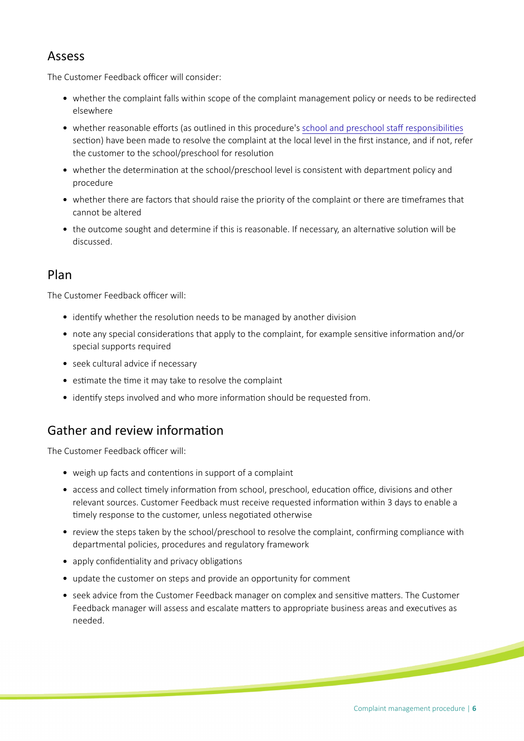#### Assess

The Customer Feedback officer will consider:

- whether the complaint falls within scope of the complaint management policy or needs to be redirected elsewhere
- whether reasonable efforts (as outlined in this procedure's school and preschool staff responsibilities section) have been made to resolve the complaint at the local level in the first instance, and if not, refer the customer to the school/preschool for resoluton
- whether the determination at the school/preschool level is consistent with department policy and procedure
- whether there are factors that should raise the priority of the complaint or there are tmeframes that cannot be altered
- the outcome sought and determine if this is reasonable. If necessary, an alternative solution will be discussed.

#### Plan

The Customer Feedback officer will:

- identify whether the resolution needs to be managed by another division
- note any special considerations that apply to the complaint, for example sensitive information and/or special supports required
- seek cultural advice if necessary
- estimate the time it may take to resolve the complaint
- identify steps involved and who more information should be requested from.

#### Gather and review information

The Customer Feedback officer will:

- weigh up facts and contentons in support of a complaint
- access and collect timely information from school, preschool, education office, divisions and other relevant sources. Customer Feedback must receive requested information within 3 days to enable a timely response to the customer, unless negotiated otherwise
- review the steps taken by the school/preschool to resolve the complaint, confirming compliance with departmental policies, procedures and regulatory framework
- apply confidentiality and privacy obligations
- update the customer on steps and provide an opportunity for comment
- seek advice from the Customer Feedback manager on complex and sensitive matters. The Customer Feedback manager will assess and escalate matters to appropriate business areas and executives as needed.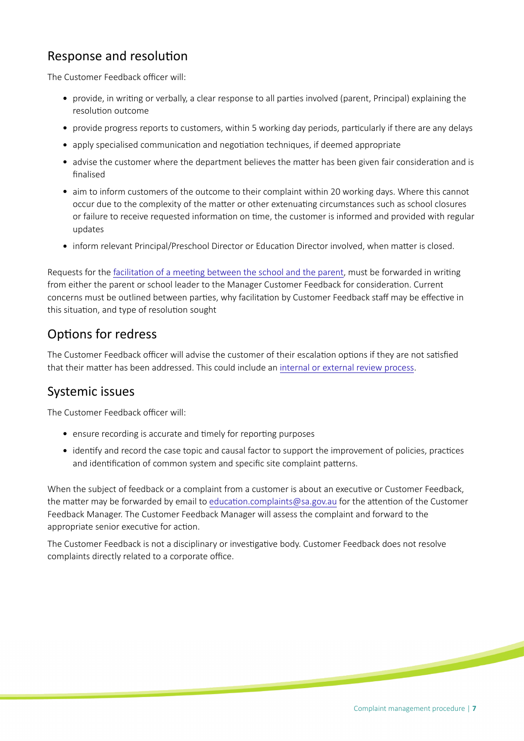#### Response and resolution

The Customer Feedback officer will:

- provide, in writng or verbally, a clear response to all partes involved (parent, Principal) explaining the resolution outcome
- provide progress reports to customers, within 5 working day periods, particularly if there are any delays
- apply specialised communication and negotiation techniques, if deemed appropriate
- advise the customer where the department believes the matter has been given fair consideration and is finalised
- aim to inform customers of the outcome to their complaint within 20 working days. Where this cannot occur due to the complexity of the mater or other extenuatng circumstances such as school closures or failure to receive requested information on time, the customer is informed and provided with regular updates
- inform relevant Principal/Preschool Director or Education Director involved, when matter is closed.

Requests for the [facilitaton of a meetng between the school and the parent](https://edi.sa.edu.au/library/document-library/controlled-procedures/complaint-management-procedure/facilitated-complaint-resolution-meetings), must be forwarded in writng from either the parent or school leader to the Manager Customer Feedback for consideration. Current concerns must be outlined between parties, why facilitation by Customer Feedback staff may be effective in this situation, and type of resolution sought

#### Options for redress

The Customer Feedback officer will advise the customer of their escalation options if they are not satisfied that their matter has been addressed. This could include an [internal or external review process.](https://www.education.sa.gov.au/internal-and-external-reviews-school-or-preschool-complaints)

#### Systemic issues

The Customer Feedback officer will:

- ensure recording is accurate and timely for reporting purposes
- identify and record the case topic and causal factor to support the improvement of policies, practices and identification of common system and specific site complaint patterns.

When the subject of feedback or a complaint from a customer is about an executive or Customer Feedback, the matter may be forwarded by email to education.complaints@sa.gov.au for the attention of the Customer Feedback Manager. The Customer Feedback Manager will assess the complaint and forward to the appropriate senior executive for action.

The Customer Feedback is not a disciplinary or investigative body. Customer Feedback does not resolve complaints directly related to a corporate office.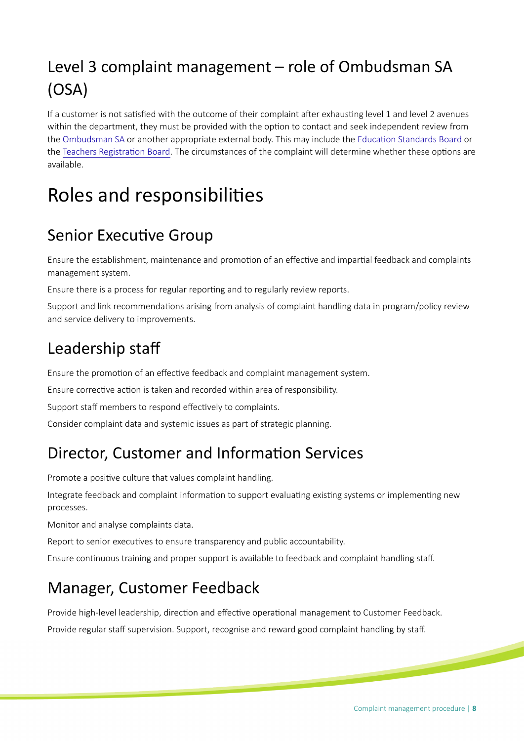## Level 3 complaint management – role of Ombudsman SA (OSA)

If a customer is not satisfied with the outcome of their complaint after exhausting level 1 and level 2 avenues within the department, they must be provided with the opton to contact and seek independent review from the [Ombudsman SA](https://www.ombudsman.sa.gov.au) or another appropriate external body. This may include the Education Standards Board or the [Teachers Registraton Board](https://www.trb.sa.edu.au). The circumstances of the complaint will determine whether these optons are available.

## Roles and responsibilites

### **Senior Executive Group**

Ensure the establishment, maintenance and promoton of an efectve and impartal feedback and complaints management system.

Ensure there is a process for regular reportng and to regularly review reports.

Support and link recommendations arising from analysis of complaint handling data in program/policy review and service delivery to improvements.

### Leadership staf

Ensure the promotion of an effective feedback and complaint management system.

Ensure corrective action is taken and recorded within area of responsibility.

Support staff members to respond effectively to complaints.

Consider complaint data and systemic issues as part of strategic planning.

#### Director, Customer and Information Services

Promote a positve culture that values complaint handling.

Integrate feedback and complaint information to support evaluating existing systems or implementing new processes.

Monitor and analyse complaints data.

Report to senior executives to ensure transparency and public accountability.

Ensure continuous training and proper support is available to feedback and complaint handling staff.

### Manager, Customer Feedback

Provide high-level leadership, direction and effective operational management to Customer Feedback.

Provide regular staff supervision. Support, recognise and reward good complaint handling by staff.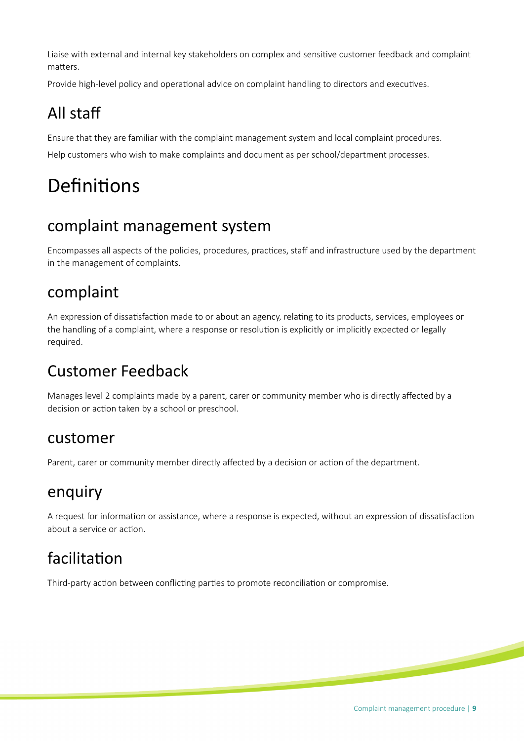Liaise with external and internal key stakeholders on complex and sensitve customer feedback and complaint matters.

Provide high-level policy and operational advice on complaint handling to directors and executives.

### All staf

Ensure that they are familiar with the complaint management system and local complaint procedures. Help customers who wish to make complaints and document as per school/department processes.

## Definitions

#### complaint management system

Encompasses all aspects of the policies, procedures, practices, staff and infrastructure used by the department in the management of complaints.

#### complaint

An expression of dissatisfaction made to or about an agency, relating to its products, services, employees or the handling of a complaint, where a response or resolution is explicitly or implicitly expected or legally required.

### Customer Feedback

Manages level 2 complaints made by a parent, carer or community member who is directly afected by a decision or action taken by a school or preschool.

#### customer

Parent, carer or community member directly affected by a decision or action of the department.

#### enquiry

A request for informaton or assistance, where a response is expected, without an expression of dissatsfacton about a service or action.

### facilitation

Third-party action between conflicting parties to promote reconciliation or compromise.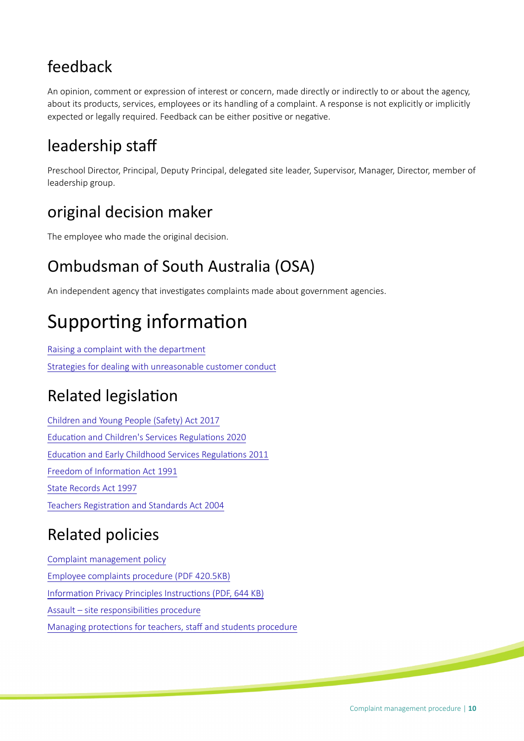### feedback

An opinion, comment or expression of interest or concern, made directly or indirectly to or about the agency, about its products, services, employees or its handling of a complaint. A response is not explicitly or implicitly expected or legally required. Feedback can be either positive or negative.

### leadership staf

Preschool Director, Principal, Deputy Principal, delegated site leader, Supervisor, Manager, Director, member of leadership group.

### original decision maker

The employee who made the original decision.

### Ombudsman of South Australia (OSA)

An independent agency that investgates complaints made about government agencies.

## Supporting information

[Raising a complaint with the department](https://www.education.sa.gov.au/raising-complaint-department-education) [Strategies for dealing with unreasonable customer conduct](https://edi.sa.edu.au/library/document-library/controlled-procedures/complaint-management-procedure/strategies-for-dealing-with-unreasonable-conduct)

### Related legislaton

[Children and Young People \(Safety\) Act 2017](https://legislation.sa.gov.au/LZ/C/A/CHILDREN%20AND%20YOUNG%20PEOPLE%20(SAFETY)%20ACT%202017.aspx) Education and Children's Services Regulations 2020 Education and Early Childhood Services Regulations 2011 Freedom of Information Act 1991 [State Records Act 1997](https://legislation.sa.gov.au/LZ/C/A/STATE%20RECORDS%20ACT%201997.aspx) Teachers Registration and Standards Act 2004

### Related policies

[Complaint management policy](https://www.education.sa.gov.au/complaint-management-policy) [Employee complaints procedure \(PDF 420.5KB\)](https://edi.sa.edu.au/library/document-library/controlled-procedures/employee-complaints-procedure.pdf) Information Privacy Principles Instructions (PDF, 644 KB) Assault - site responsibilities procedure Managing protections for teachers, staff and students procedure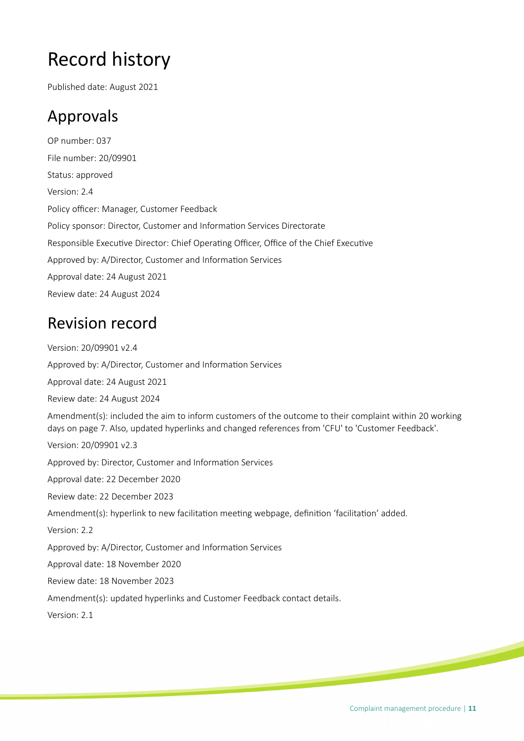## Record history

Published date: August 2021

### Approvals

OP number: 037 File number: 20/09901 Status: approved Version: 2.4 Policy officer: Manager, Customer Feedback Policy sponsor: Director, Customer and Information Services Directorate Responsible Executive Director: Chief Operating Officer, Office of the Chief Executive Approved by: A/Director, Customer and Information Services Approval date: 24 August 2021 Review date: 24 August 2024

### Revision record

Version: 20/09901 v2.4 Approved by: A/Director, Customer and Information Services Approval date: 24 August 2021 Review date: 24 August 2024 Amendment(s): included the aim to inform customers of the outcome to their complaint within 20 working days on page 7. Also, updated hyperlinks and changed references from 'CFU' to 'Customer Feedback'. Version: 20/09901 v2.3 Approved by: Director, Customer and Information Services Approval date: 22 December 2020 Review date: 22 December 2023 Amendment(s): hyperlink to new facilitation meeting webpage, definition 'facilitation' added. Version: 2.2 Approved by: A/Director, Customer and Information Services Approval date: 18 November 2020 Review date: 18 November 2023 Amendment(s): updated hyperlinks and Customer Feedback contact details.

Version: 2.1